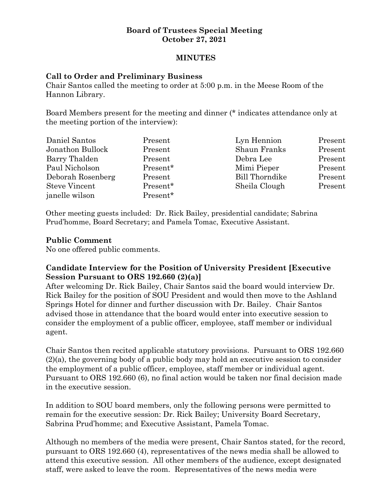## **Board of Trustees Special Meeting October 27, 2021**

## **MINUTES**

#### **Call to Order and Preliminary Business**

Chair Santos called the meeting to order at 5:00 p.m. in the Meese Room of the Hannon Library.

Board Members present for the meeting and dinner (\* indicates attendance only at the meeting portion of the interview):

| Daniel Santos        | Present  | Lyn Hennion           | Present |
|----------------------|----------|-----------------------|---------|
| Jonathon Bullock     | Present  | Shaun Franks          | Present |
| Barry Thalden        | Present  | Debra Lee             | Present |
| Paul Nicholson       | Present* | Mimi Pieper           | Present |
| Deborah Rosenberg    | Present  | <b>Bill Thorndike</b> | Present |
| <b>Steve Vincent</b> | Present* | Sheila Clough         | Present |
| janelle wilson       | Present* |                       |         |

Other meeting guests included: Dr. Rick Bailey, presidential candidate; Sabrina Prud'homme, Board Secretary; and Pamela Tomac, Executive Assistant.

#### **Public Comment**

No one offered public comments.

# **Candidate Interview for the Position of University President [Executive Session Pursuant to ORS 192.660 (2)(a)]**

After welcoming Dr. Rick Bailey, Chair Santos said the board would interview Dr. Rick Bailey for the position of SOU President and would then move to the Ashland Springs Hotel for dinner and further discussion with Dr. Bailey. Chair Santos advised those in attendance that the board would enter into executive session to consider the employment of a public officer, employee, staff member or individual agent.

Chair Santos then recited applicable statutory provisions. Pursuant to ORS 192.660 (2)(a), the governing body of a public body may hold an executive session to consider the employment of a public officer, employee, staff member or individual agent. Pursuant to ORS 192.660 (6), no final action would be taken nor final decision made in the executive session.

In addition to SOU board members, only the following persons were permitted to remain for the executive session: Dr. Rick Bailey; University Board Secretary, Sabrina Prud'homme; and Executive Assistant, Pamela Tomac.

Although no members of the media were present, Chair Santos stated, for the record, pursuant to ORS 192.660 (4), representatives of the news media shall be allowed to attend this executive session. All other members of the audience, except designated staff, were asked to leave the room. Representatives of the news media were